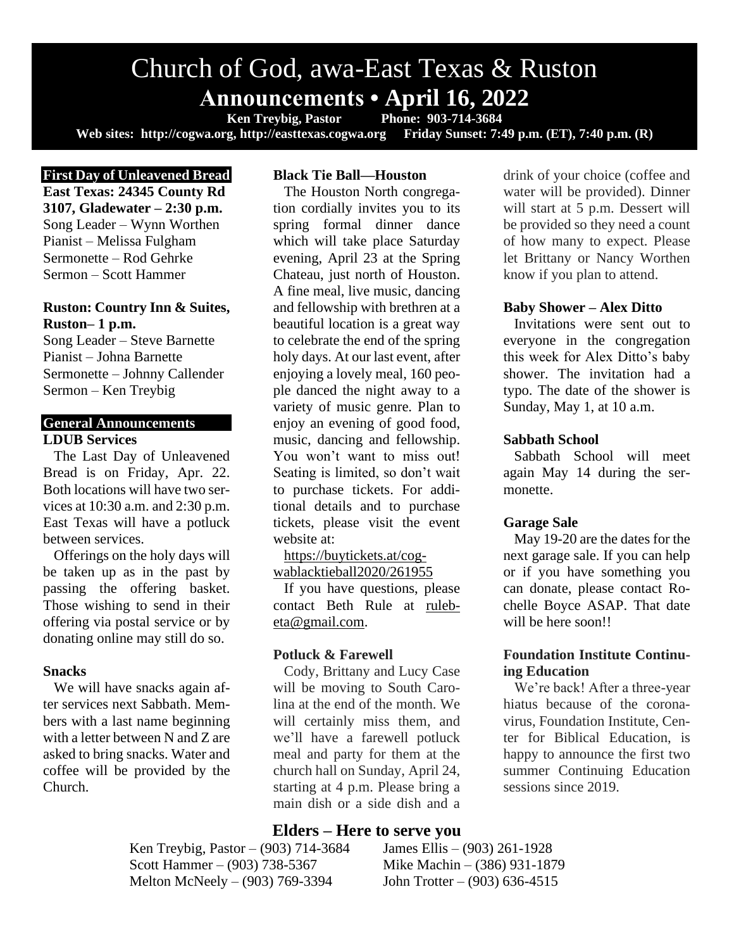# Church of God, awa-East Texas & Ruston **Announcements • April 16, 2022**<br>Ken Treybig, Pastor Phone: 903-714-3684

Ken Treybig, Pastor Phone: 903-714-3684<br>g, http://easttexas.cogwa.org Friday Sunset: 7:49 p.m. (ET), 7:40 p.m. (R) Web sites: http://cogwa.org, http://easttexas.cogwa.org

# **First Day of Unleavened Bread**

**East Texas: 24345 County Rd 3107, Gladewater – 2:30 p.m.** Song Leader – Wynn Worthen Pianist – Melissa Fulgham Sermonette – Rod Gehrke Sermon – Scott Hammer

## **Ruston: Country Inn & Suites, Ruston– 1 p.m.**

Song Leader – Steve Barnette Pianist – Johna Barnette Sermonette – Johnny Callender Sermon – Ken Treybig

#### **General Announcements LDUB Services**

The Last Day of Unleavened Bread is on Friday, Apr. 22. Both locations will have two services at 10:30 a.m. and 2:30 p.m. East Texas will have a potluck between services.

Offerings on the holy days will be taken up as in the past by passing the offering basket. Those wishing to send in their offering via postal service or by donating online may still do so.

### **Snacks**

We will have snacks again after services next Sabbath. Members with a last name beginning with a letter between N and Z are asked to bring snacks. Water and coffee will be provided by the Church.

# **Black Tie Ball—Houston**

The Houston North congregation cordially invites you to its spring formal dinner dance which will take place Saturday evening, April 23 at the Spring Chateau, just north of Houston. A fine meal, live music, dancing and fellowship with brethren at a beautiful location is a great way to celebrate the end of the spring holy days. At our last event, after enjoying a lovely meal, 160 people danced the night away to a variety of music genre. Plan to enjoy an evening of good food, music, dancing and fellowship. You won't want to miss out! Seating is limited, so don't wait to purchase tickets. For additional details and to purchase tickets, please visit the event website at:

[https://buytickets.at/cog](https://buytickets.at/cogwablacktieball2020/261955)[wablacktieball2020/261955](https://buytickets.at/cogwablacktieball2020/261955)

If you have questions, please contact Beth Rule at [ruleb](mailto:rulebeta@gmail.com)[eta@gmail.com.](mailto:rulebeta@gmail.com)

### **Potluck & Farewell**

Cody, Brittany and Lucy Case will be moving to South Carolina at the end of the month. We will certainly miss them, and we'll have a farewell potluck meal and party for them at the church hall on Sunday, April 24, starting at 4 p.m. Please bring a main dish or a side dish and a

### **Elders – Here to serve you**

Ken Treybig, Pastor – (903) 714-3684 James Ellis – (903) 261-1928 Scott Hammer – (903) 738-5367 Mike Machin – (386) 931-1879 Melton McNeely – (903) 769-3394 John Trotter – (903) 636-4515

drink of your choice (coffee and water will be provided). Dinner will start at 5 p.m. Dessert will be provided so they need a count of how many to expect. Please let Brittany or Nancy Worthen know if you plan to attend.

#### **Baby Shower – Alex Ditto**

Invitations were sent out to everyone in the congregation this week for Alex Ditto's baby shower. The invitation had a typo. The date of the shower is Sunday, May 1, at 10 a.m.

#### **Sabbath School**

Sabbath School will meet again May 14 during the sermonette.

#### **Garage Sale**

May 19-20 are the dates for the next garage sale. If you can help or if you have something you can donate, please contact Rochelle Boyce ASAP. That date will be here soon!!

### **Foundation Institute Continuing Education**

We're back! After a three-year hiatus because of the coronavirus, Foundation Institute, Center for Biblical Education, is happy to announce the first two summer Continuing Education sessions since 2019.